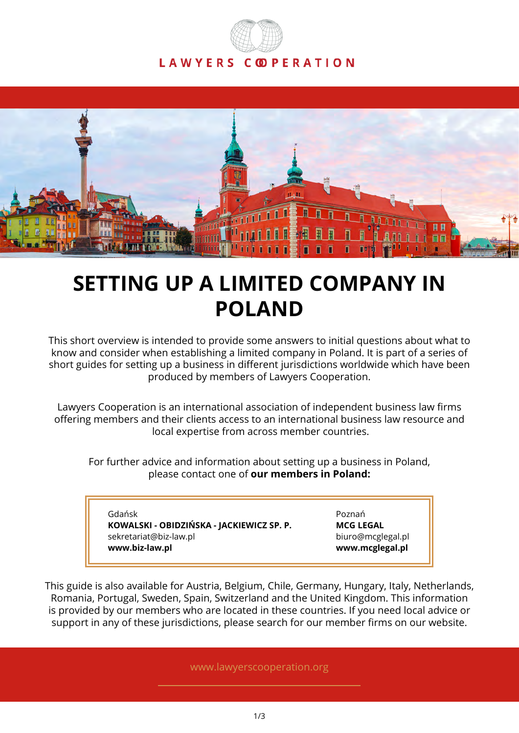



# **SETTING UP A LIMITED COMPANY IN POLAND**

This short overview is intended to provide some answers to initial questions about what to know and consider when establishing a limited company in Poland. It is part of a series of short guides for setting up a business in different jurisdictions worldwide which have been produced by members of Lawyers Cooperation.

Lawyers Cooperation is an international association of independent business law firms offering members and their clients access to an international business law resource and local expertise from across member countries.

For further advice and information about setting up a business in Poland, please contact one of **our members in Poland:**

Gdańsk **KOWALSKI - OBIDZIŃSKA - JACKIEWICZ SP. P.** sekretariat@biz-law.pl **www.biz-law.pl**

Poznań **MCG LEGAL** biuro@mcglegal.pl **www.mcglegal.pl**

This guide is also available for Austria, Belgium, Chile, Germany, Hungary, Italy, Netherlands, Romania, Portugal, Sweden, Spain, Switzerland and the United Kingdom. This information is provided by our members who are located in these countries. If you need local advice or support in any of these jurisdictions, please search for our member firms on our website.

www.lawyerscooperation.org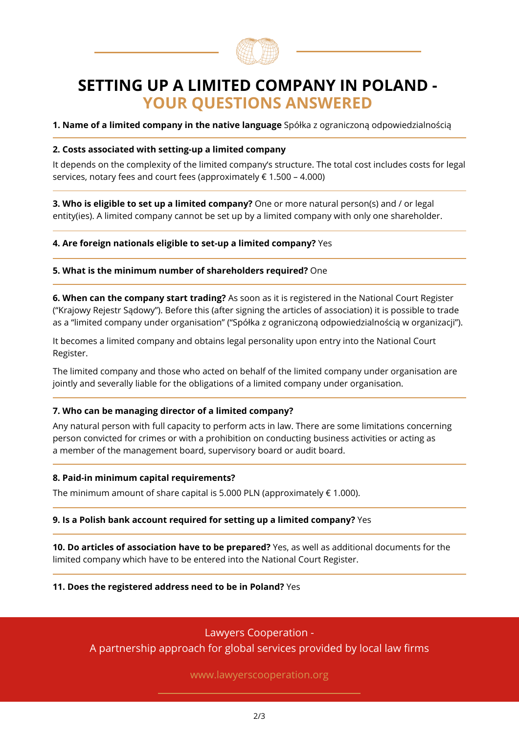

# **SETTING UP A LIMITED COMPANY IN POLAND - YOUR QUESTIONS ANSWERED**

**1. Name of a limited company in the native language** Spółka z ograniczoną odpowiedzialnością

#### **2. Costs associated with setting-up a limited company**

It depends on the complexity of the limited company's structure. The total cost includes costs for legal services, notary fees and court fees (approximately  $\epsilon$  1.500 – 4.000)

**3. Who is eligible to set up a limited company?** One or more natural person(s) and / or legal entity(ies). A limited company cannot be set up by a limited company with only one shareholder.

#### **4. Are foreign nationals eligible to set-up a limited company?** Yes

#### **5. What is the minimum number of shareholders required?** One

**6. When can the company start trading?** As soon as it is registered in the National Court Register ("Krajowy Rejestr Sądowy"). Before this (after signing the articles of association) it is possible to trade as a "limited company under organisation" ("Spółka z ograniczoną odpowiedzialnością w organizacji").

It becomes a limited company and obtains legal personality upon entry into the National Court Register.

The limited company and those who acted on behalf of the limited company under organisation are jointly and severally liable for the obligations of a limited company under organisation.

#### **7. Who can be managing director of a limited company?**

Any natural person with full capacity to perform acts in law. There are some limitations concerning person convicted for crimes or with a prohibition on conducting business activities or acting as a member of the management board, supervisory board or audit board.

#### **8. Paid-in minimum capital requirements?**

The minimum amount of share capital is 5.000 PLN (approximately  $\in$  1.000).

#### **9. Is a Polish bank account required for setting up a limited company?** Yes

**10. Do articles of association have to be prepared?** Yes, as well as additional documents for the limited company which have to be entered into the National Court Register.

#### **11. Does the registered address need to be in Poland?** Yes

## Lawyers Cooperation -

A partnership approach for global services provided by local law firms

www.lawyerscooperation.org